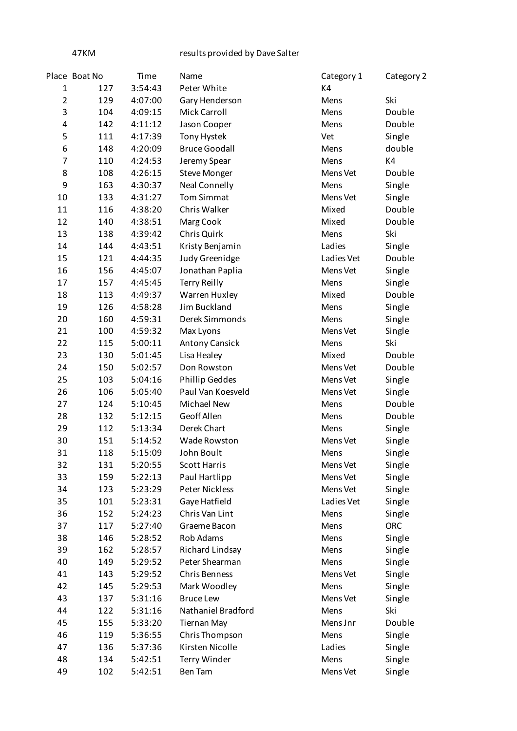## 47KM results provided by Dave Salter

|                | Place Boat No | Time    | Name                  | Category 1 | Category 2 |
|----------------|---------------|---------|-----------------------|------------|------------|
| $\mathbf{1}$   | 127           | 3:54:43 | Peter White           | K4         |            |
| $\overline{2}$ | 129           | 4:07:00 | Gary Henderson        | Mens       | Ski        |
| 3              | 104           | 4:09:15 | <b>Mick Carroll</b>   | Mens       | Double     |
| 4              | 142           | 4:11:12 | Jason Cooper          | Mens       | Double     |
| 5              | 111           | 4:17:39 | Tony Hystek           | Vet        | Single     |
| 6              | 148           | 4:20:09 | <b>Bruce Goodall</b>  | Mens       | double     |
| 7              | 110           | 4:24:53 | Jeremy Spear          | Mens       | K4         |
| 8              | 108           | 4:26:15 | <b>Steve Monger</b>   | Mens Vet   | Double     |
| 9              | 163           | 4:30:37 | <b>Neal Connelly</b>  | Mens       | Single     |
| 10             | 133           | 4:31:27 | <b>Tom Simmat</b>     | Mens Vet   | Single     |
| 11             | 116           | 4:38:20 | Chris Walker          | Mixed      | Double     |
| 12             | 140           | 4:38:51 | Marg Cook             | Mixed      | Double     |
| 13             | 138           | 4:39:42 | Chris Quirk           | Mens       | Ski        |
| 14             | 144           | 4:43:51 | Kristy Benjamin       | Ladies     | Single     |
| 15             | 121           | 4:44:35 | <b>Judy Greenidge</b> | Ladies Vet | Double     |
| 16             | 156           | 4:45:07 | Jonathan Paplia       | Mens Vet   | Single     |
| 17             | 157           | 4:45:45 | <b>Terry Reilly</b>   | Mens       | Single     |
| 18             | 113           | 4:49:37 | Warren Huxley         | Mixed      | Double     |
| 19             | 126           | 4:58:28 | Jim Buckland          | Mens       | Single     |
| 20             | 160           | 4:59:31 | Derek Simmonds        | Mens       | Single     |
| 21             | 100           | 4:59:32 | Max Lyons             | Mens Vet   | Single     |
| 22             | 115           | 5:00:11 | <b>Antony Cansick</b> | Mens       | Ski        |
| 23             | 130           | 5:01:45 | Lisa Healey           | Mixed      | Double     |
| 24             | 150           | 5:02:57 | Don Rowston           | Mens Vet   | Double     |
| 25             | 103           | 5:04:16 | <b>Phillip Geddes</b> | Mens Vet   | Single     |
| 26             | 106           | 5:05:40 | Paul Van Koesveld     | Mens Vet   | Single     |
| 27             | 124           | 5:10:45 | Michael New           | Mens       | Double     |
| 28             | 132           | 5:12:15 | Geoff Allen           | Mens       | Double     |
| 29             | 112           | 5:13:34 | Derek Chart           | Mens       | Single     |
| 30             | 151           | 5:14:52 | Wade Rowston          | Mens Vet   | Single     |
| 31             | 118           | 5:15:09 | John Boult            | Mens       | Single     |
| 32             | 131           | 5:20:55 | <b>Scott Harris</b>   | Mens Vet   | Single     |
| 33             | 159           | 5:22:13 | Paul Hartlipp         | Mens Vet   | Single     |
| 34             | 123           | 5:23:29 | Peter Nickless        | Mens Vet   | Single     |
| 35             | 101           | 5:23:31 | Gaye Hatfield         | Ladies Vet | Single     |
| 36             | 152           | 5:24:23 | Chris Van Lint        | Mens       | Single     |
| 37             | 117           | 5:27:40 | Graeme Bacon          | Mens       | ORC        |
| 38             | 146           | 5:28:52 | Rob Adams             | Mens       | Single     |
| 39             | 162           | 5:28:57 | Richard Lindsay       | Mens       | Single     |
| 40             | 149           | 5:29:52 | Peter Shearman        | Mens       | Single     |
| 41             | 143           | 5:29:52 | <b>Chris Benness</b>  | Mens Vet   | Single     |
| 42             | 145           | 5:29:53 | Mark Woodley          | Mens       | Single     |
| 43             | 137           | 5:31:16 | <b>Bruce Lew</b>      | Mens Vet   | Single     |
| 44             | 122           | 5:31:16 | Nathaniel Bradford    | Mens       | Ski        |
| 45             | 155           | 5:33:20 | <b>Tiernan May</b>    | Mens Jnr   | Double     |
| 46             | 119           | 5:36:55 | Chris Thompson        | Mens       | Single     |
| 47             | 136           | 5:37:36 | Kirsten Nicolle       | Ladies     | Single     |
| 48             | 134           | 5:42:51 | Terry Winder          | Mens       | Single     |
| 49             | 102           | 5:42:51 | Ben Tam               | Mens Vet   | Single     |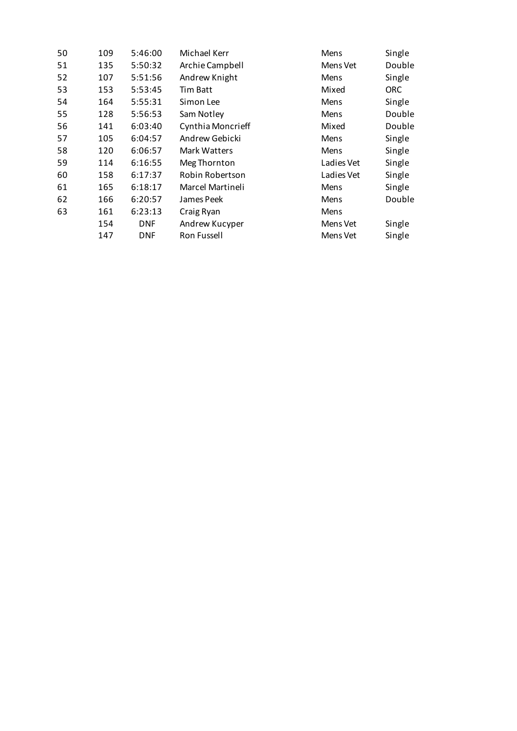| 50 | 109 | 5:46:00    | Michael Kerr      | Mens        | Single     |
|----|-----|------------|-------------------|-------------|------------|
| 51 | 135 | 5:50:32    | Archie Campbell   | Mens Vet    | Double     |
| 52 | 107 | 5:51:56    | Andrew Knight     | <b>Mens</b> | Single     |
| 53 | 153 | 5:53:45    | Tim Batt          | Mixed       | <b>ORC</b> |
| 54 | 164 | 5:55:31    | Simon Lee         | <b>Mens</b> | Single     |
| 55 | 128 | 5:56:53    | Sam Notley        | Mens        | Double     |
| 56 | 141 | 6:03:40    | Cynthia Moncrieff | Mixed       | Double     |
| 57 | 105 | 6:04:57    | Andrew Gebicki    | Mens        | Single     |
| 58 | 120 | 6:06:57    | Mark Watters      | <b>Mens</b> | Single     |
| 59 | 114 | 6:16:55    | Meg Thornton      | Ladies Vet  | Single     |
| 60 | 158 | 6:17:37    | Robin Robertson   | Ladies Vet  | Single     |
| 61 | 165 | 6:18:17    | Marcel Martineli  | Mens        | Single     |
| 62 | 166 | 6:20:57    | James Peek        | <b>Mens</b> | Double     |
| 63 | 161 | 6:23:13    | Craig Ryan        | <b>Mens</b> |            |
|    | 154 | <b>DNF</b> | Andrew Kucyper    | Mens Vet    | Single     |
|    | 147 | <b>DNF</b> | Ron Fussell       | Mens Vet    | Single     |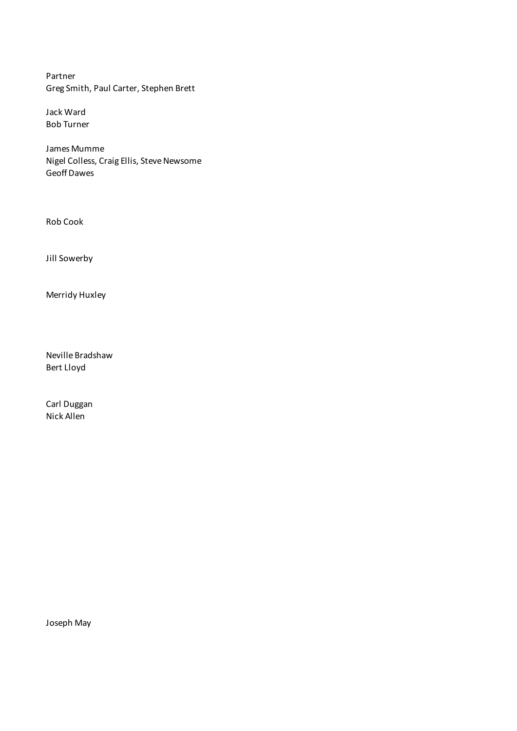Partner Greg Smith, Paul Carter, Stephen Brett

Jack Ward Bob Turner

James Mumme Nigel Colless, Craig Ellis, Steve Newsome Geoff Dawes

Rob Cook

Jill Sowerby

Merridy Huxley

Neville Bradshaw Bert Lloyd

Carl Duggan Nick Allen

Joseph May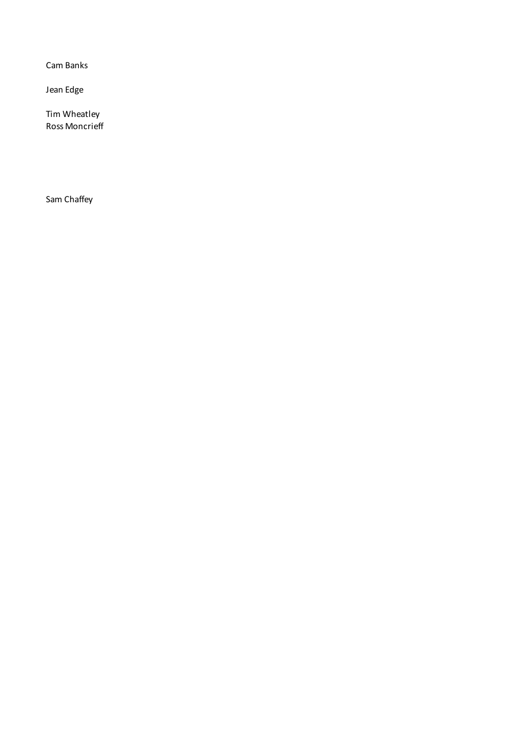Cam Banks

Jean Edge

Tim Wheatley Ross Moncrieff

Sam Chaffey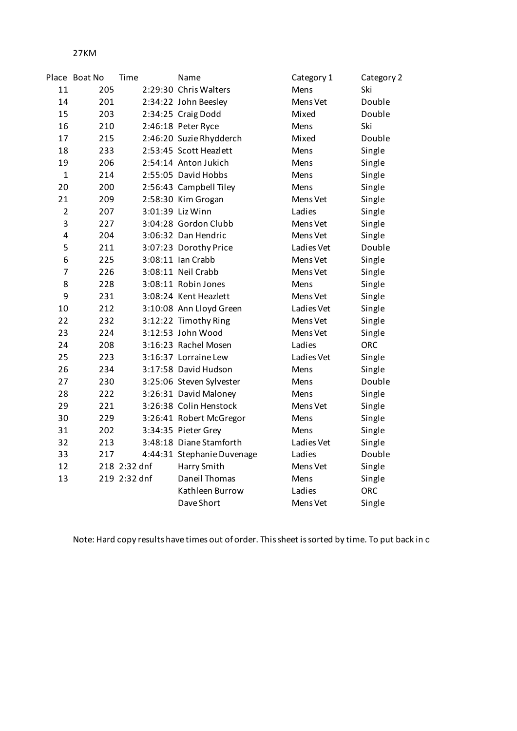|--|--|

|                | Place Boat No | Time         | Name                       | Category 1        | Category 2 |
|----------------|---------------|--------------|----------------------------|-------------------|------------|
| 11             | 205           |              | 2:29:30 Chris Walters      | Mens              | Ski        |
| 14             | 201           |              | 2:34:22 John Beesley       | Mens Vet          | Double     |
| 15             | 203           |              | 2:34:25 Craig Dodd         | Mixed             | Double     |
| 16             | 210           |              | 2:46:18 Peter Ryce         | <b>Mens</b>       | Ski        |
| 17             | 215           |              | 2:46:20 Suzie Rhydderch    | Mixed             | Double     |
| 18             | 233           |              | 2:53:45 Scott Heazlett     | Mens              | Single     |
| 19             | 206           |              | 2:54:14 Anton Jukich       | Mens              | Single     |
| $\mathbf{1}$   | 214           |              | 2:55:05 David Hobbs        | Mens              | Single     |
| 20             | 200           |              | 2:56:43 Campbell Tiley     | Mens              | Single     |
| 21             | 209           |              | 2:58:30 Kim Grogan         | Mens Vet          | Single     |
| $\overline{2}$ | 207           |              | 3:01:39 Liz Winn           | Ladies            | Single     |
| 3              | 227           |              | 3:04:28 Gordon Clubb       | Mens Vet          | Single     |
| 4              | 204           |              | 3:06:32 Dan Hendric        | Mens Vet          | Single     |
| 5              | 211           |              | 3:07:23 Dorothy Price      | Ladies Vet        | Double     |
| 6              | 225           |              | 3:08:11 Ian Crabb          | Mens Vet          | Single     |
| $\overline{7}$ | 226           |              | 3:08:11 Neil Crabb         | Mens Vet          | Single     |
| 8              | 228           |              | 3:08:11 Robin Jones        | Mens              | Single     |
| 9              | 231           |              | 3:08:24 Kent Heazlett      | Mens Vet          | Single     |
| 10             | 212           |              | 3:10:08 Ann Lloyd Green    | Ladies Vet        | Single     |
| 22             | 232           |              | 3:12:22 Timothy Ring       | Mens Vet          | Single     |
| 23             | 224           |              | 3:12:53 John Wood          | Mens Vet          | Single     |
| 24             | 208           |              | 3:16:23 Rachel Mosen       | Ladies            | ORC        |
| 25             | 223           |              | 3:16:37 Lorraine Lew       | Ladies Vet        | Single     |
| 26             | 234           |              | 3:17:58 David Hudson       | Mens              | Single     |
| 27             | 230           |              | 3:25:06 Steven Sylvester   | Mens              | Double     |
| 28             | 222           |              | 3:26:31 David Maloney      | Mens              | Single     |
| 29             | 221           |              | 3:26:38 Colin Henstock     | Mens Vet          | Single     |
| 30             | 229           |              | 3:26:41 Robert McGregor    | Mens              | Single     |
| 31             | 202           |              | 3:34:35 Pieter Grey        | <b>Mens</b>       | Single     |
| 32             | 213           |              | 3:48:18 Diane Stamforth    | <b>Ladies Vet</b> | Single     |
| 33             | 217           |              | 4:44:31 Stephanie Duvenage | Ladies            | Double     |
| 12             |               | 218 2:32 dnf | Harry Smith                | Mens Vet          | Single     |
| 13             |               | 219 2:32 dnf | Daneil Thomas              | Mens              | Single     |
|                |               |              | Kathleen Burrow            | Ladies            | <b>ORC</b> |
|                |               |              | Dave Short                 | Mens Vet          | Single     |

Note: Hard copy results have times out of order. This sheet is sorted by time. To put back in c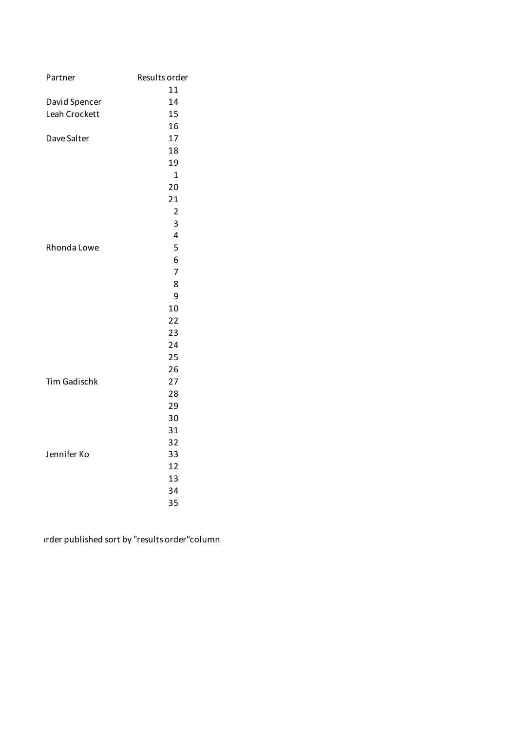| Partner             | Results order  |  |  |
|---------------------|----------------|--|--|
|                     | 11             |  |  |
| David Spencer       | 14             |  |  |
| Leah Crockett       | 15             |  |  |
|                     | 16             |  |  |
| Dave Salter         | 17             |  |  |
|                     | 18             |  |  |
|                     | 19             |  |  |
|                     | $\overline{1}$ |  |  |
|                     | 20             |  |  |
|                     | 21             |  |  |
|                     | $\overline{2}$ |  |  |
|                     | 3              |  |  |
|                     | 4              |  |  |
| Rhonda Lowe         | 5              |  |  |
|                     | 6              |  |  |
|                     | 7              |  |  |
|                     | 8              |  |  |
|                     | 9              |  |  |
|                     | 10             |  |  |
|                     | 22<br>23       |  |  |
|                     | 24             |  |  |
|                     | 25             |  |  |
|                     | 26             |  |  |
| <b>Tim Gadischk</b> | 27             |  |  |
|                     | 28             |  |  |
|                     | 29             |  |  |
|                     | 30             |  |  |
|                     | 31             |  |  |
|                     | 32             |  |  |
| Jennifer Ko         | 33             |  |  |
|                     | 12             |  |  |
|                     | 13             |  |  |
|                     | 34             |  |  |
|                     | 35             |  |  |

Inder published sort by "results order"column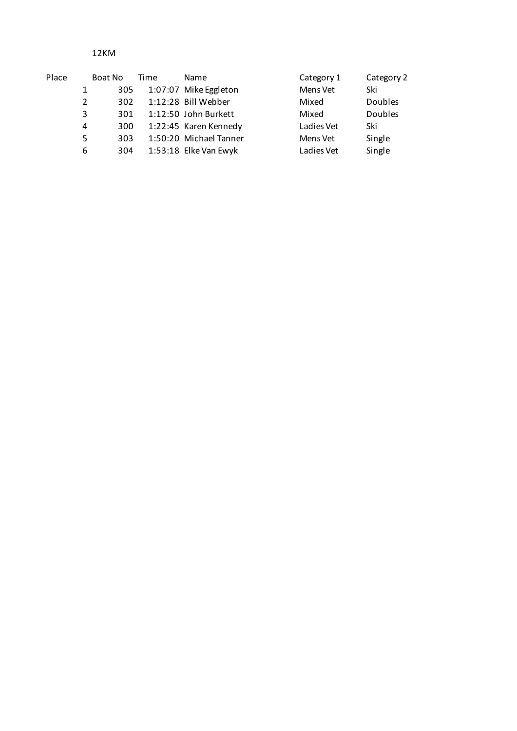## 12KM

| Place |               | Boat No | Time | Name                   | Category 1 | Category 2 |
|-------|---------------|---------|------|------------------------|------------|------------|
|       | 1             | 305     |      | 1:07:07 Mike Eggleton  | Mens Vet   | Ski        |
|       | $\mathcal{P}$ | 302     |      | 1:12:28 Bill Webber    | Mixed      | Doubles    |
|       | 3             | 301     |      | 1:12:50 John Burkett   | Mixed      | Doubles    |
|       | 4             | 300     |      | 1:22:45 Karen Kennedy  | Ladies Vet | Ski        |
|       | 5.            | 303     |      | 1:50:20 Michael Tanner | Mens Vet   | Single     |
|       | 6             | 304     |      | 1:53:18 Elke Van Ewyk  | Ladies Vet | Single     |
|       |               |         |      |                        |            |            |